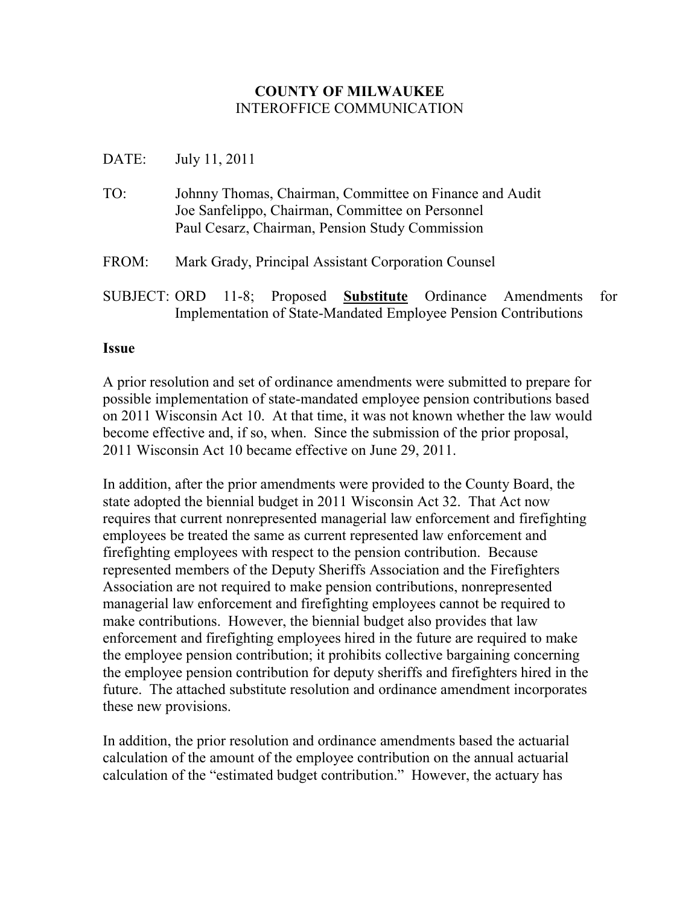## **COUNTY OF MILWAUKEE**  INTEROFFICE COMMUNICATION

## DATE: July 11, 2011

| TO: | Johnny Thomas, Chairman, Committee on Finance and Audit |
|-----|---------------------------------------------------------|
|     | Joe Sanfelippo, Chairman, Committee on Personnel        |
|     | Paul Cesarz, Chairman, Pension Study Commission         |

- FROM: Mark Grady, Principal Assistant Corporation Counsel
- SUBJECT: ORD 11-8; Proposed **Substitute** Ordinance Amendments for Implementation of State-Mandated Employee Pension Contributions

## **Issue**

A prior resolution and set of ordinance amendments were submitted to prepare for possible implementation of state-mandated employee pension contributions based on 2011 Wisconsin Act 10. At that time, it was not known whether the law would become effective and, if so, when. Since the submission of the prior proposal, 2011 Wisconsin Act 10 became effective on June 29, 2011.

In addition, after the prior amendments were provided to the County Board, the state adopted the biennial budget in 2011 Wisconsin Act 32. That Act now requires that current nonrepresented managerial law enforcement and firefighting employees be treated the same as current represented law enforcement and firefighting employees with respect to the pension contribution. Because represented members of the Deputy Sheriffs Association and the Firefighters Association are not required to make pension contributions, nonrepresented managerial law enforcement and firefighting employees cannot be required to make contributions. However, the biennial budget also provides that law enforcement and firefighting employees hired in the future are required to make the employee pension contribution; it prohibits collective bargaining concerning the employee pension contribution for deputy sheriffs and firefighters hired in the future. The attached substitute resolution and ordinance amendment incorporates these new provisions.

In addition, the prior resolution and ordinance amendments based the actuarial calculation of the amount of the employee contribution on the annual actuarial calculation of the "estimated budget contribution." However, the actuary has